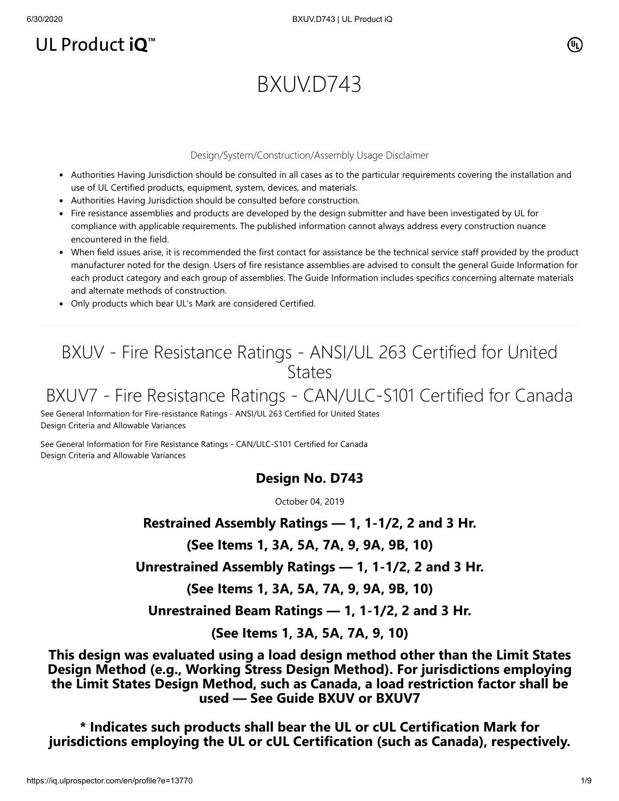## UL Product iQ<sup>™</sup>

 $(\mathtt{U}_\mathsf{L})$ 

# BXUV.D743

#### Design/System/Construction/Assembly Usage Disclaimer

- Authorities Having Jurisdiction should be consulted in all cases as to the particular requirements covering the installation and use of UL Certified products, equipment, system, devices, and materials.
- Authorities Having Jurisdiction should be consulted before construction.
- Fire resistance assemblies and products are developed by the design submitter and have been investigated by UL for compliance with applicable requirements. The published information cannot always address every construction nuance encountered in the field.
- When field issues arise, it is recommended the first contact for assistance be the technical service staff provided by the product manufacturer noted for the design. Users of fire resistance assemblies are advised to consult the general Guide Information for each product category and each group of assemblies. The Guide Information includes specifics concerning alternate materials and alternate methods of construction.
- Only products which bear UL's Mark are considered Certified.

## BXUV - Fire Resistance Ratings - ANSI/UL 263 Certified for United **States**

## BXUV7 - Fire Resistance Ratings - CAN/ULC-S101 Certified for Canada

[See General Information for Fire-resistance Ratings - ANSI/UL 263 Certified for United States](https://iq.ulprospector.com/cgi-bin/XYV/template/LISEXT/1FRAME/showpage.html?name=BXUV.GuideInfo&ccnshorttitle=Fire-resistance+Ratings+-+ANSI/UL+263&objid=1074327030&cfgid=1073741824&version=versionless&parent_id=1073984818&sequence=1) Design Criteria and Allowable Variances

[See General Information for Fire Resistance Ratings - CAN/ULC-S101 Certified for Canada](https://iq.ulprospector.com/cgi-bin/XYV/template/LISEXT/1FRAME/showpage.html?name=BXUV7.GuideInfo&ccnshorttitle=Fire+Resistance+Ratings+-+CAN/ULC-S101+Certified+for+Canada&objid=1074205658&cfgid=1073741824&version=versionless&parent_id=1073984820&sequence=1) Design Criteria and Allowable Variances

### **Design No. D743**

October 04, 2019

### **Restrained Assembly Ratings — 1, 1-1/2, 2 and 3 Hr.**

**(See Items 1, 3A, 5A, 7A, 9, 9A, 9B, 10)**

**Unrestrained Assembly Ratings — 1, 1-1/2, 2 and 3 Hr.**

**(See Items 1, 3A, 5A, 7A, 9, 9A, 9B, 10)**

**Unrestrained Beam Ratings — 1, 1-1/2, 2 and 3 Hr.**

**(See Items 1, 3A, 5A, 7A, 9, 10)**

**This design was evaluated using a load design method other than the Limit States Design Method (e.g., Working Stress Design Method). For jurisdictions employing the Limit States Design Method, such as Canada, a load restriction factor shall be used — See Guide [BXUV](https://database.ul.com/cgi-bin/XYV/template/LISEXT/1FRAME/showpage.html?name=BXUV.GuideInfo&ccnshorttitle=Fire-resistance+Ratings+-+ANSI/UL+263&objid=1074327030&cfgid=1073741824&version=versionless&parent_id=1073984818&sequence=1) or [BXUV7](https://database.ul.com/cgi-bin/XYV/template/LISEXT/1FRAME/showpage.html?name=BXUV7.GuideInfo&ccnshorttitle=Fire+Resistance+Ratings+-+CAN/ULC-S101M+Certified+for+Canada&objid=1074205658&cfgid=1073741824&version=versionless&parent_id=1073984820&sequence=1)**

**\* Indicates such products shall bear the UL or cUL Certification Mark for jurisdictions employing the UL or cUL Certification (such as Canada), respectively.**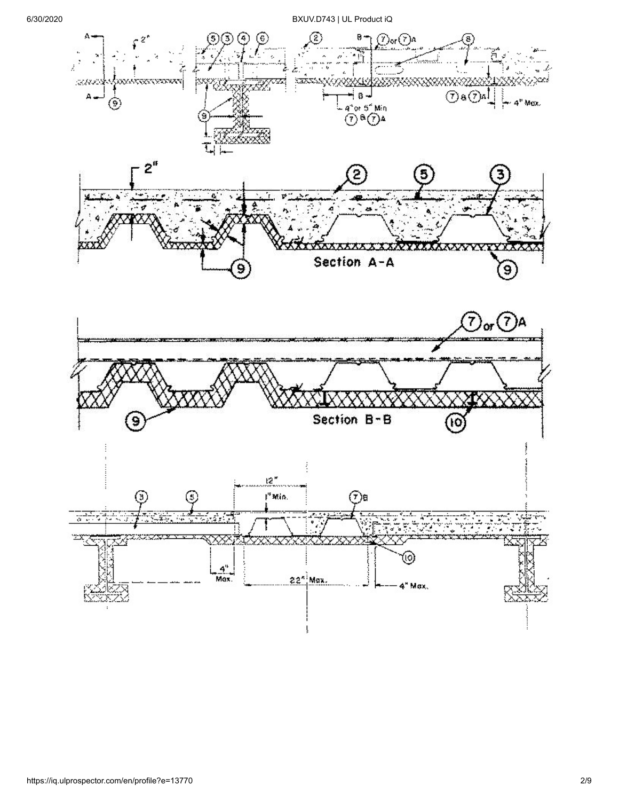6/30/2020 BXUV.D743 | UL Product iQ

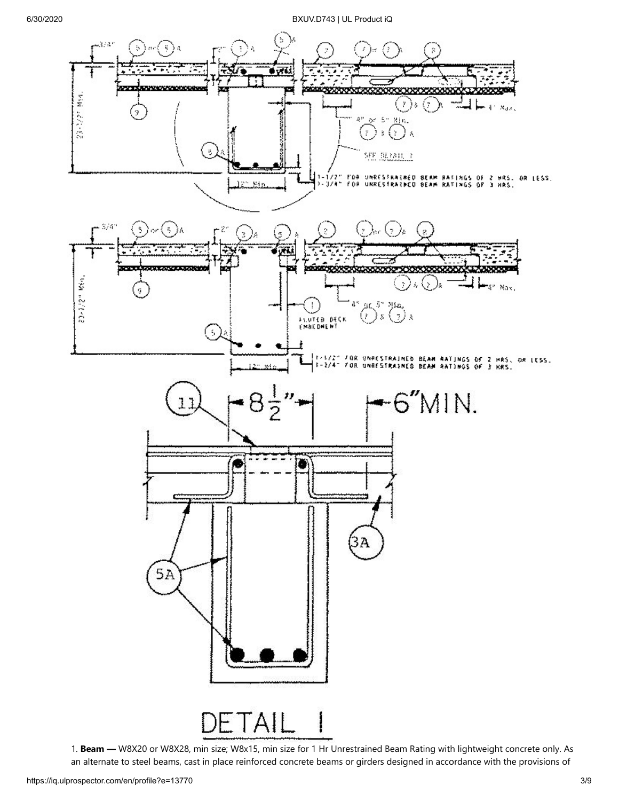

1. **Beam —** W8X20 or W8X28, min size; W8x15, min size for 1 Hr Unrestrained Beam Rating with lightweight concrete only. As an alternate to steel beams, cast in place reinforced concrete beams or girders designed in accordance with the provisions of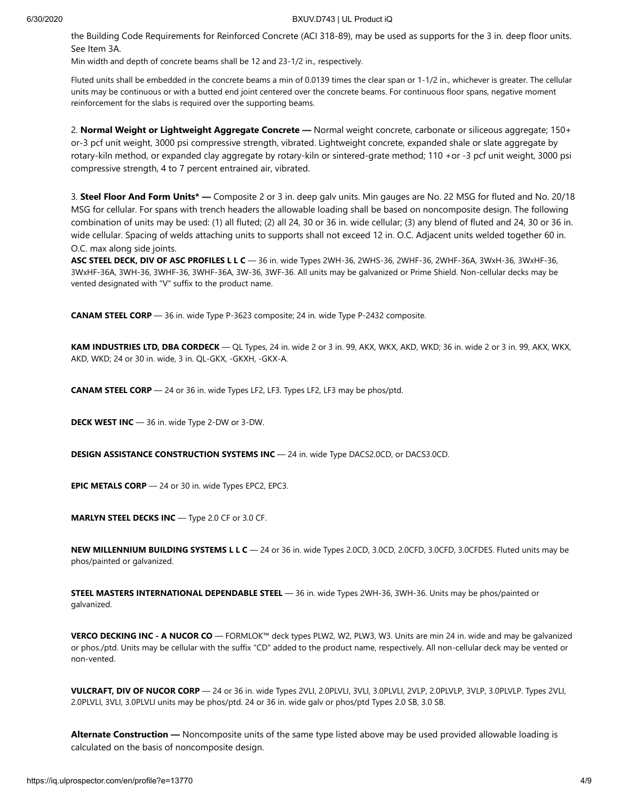the Building Code Requirements for Reinforced Concrete (ACI 318-89), may be used as supports for the 3 in. deep floor units. See Item 3A.

Min width and depth of concrete beams shall be 12 and 23-1/2 in., respectively.

Fluted units shall be embedded in the concrete beams a min of 0.0139 times the clear span or 1-1/2 in., whichever is greater. The cellular units may be continuous or with a butted end joint centered over the concrete beams. For continuous floor spans, negative moment reinforcement for the slabs is required over the supporting beams.

2. **Normal Weight or Lightweight Aggregate Concrete —** Normal weight concrete, carbonate or siliceous aggregate; 150+ or-3 pcf unit weight, 3000 psi compressive strength, vibrated. Lightweight concrete, expanded shale or slate aggregate by rotary-kiln method, or expanded clay aggregate by rotary-kiln or sintered-grate method; 110 +or -3 pcf unit weight, 3000 psi compressive strength, 4 to 7 percent entrained air, vibrated.

3. **Steel Floor And Form Units\* —** Composite 2 or 3 in. deep galv units. Min gauges are No. 22 MSG for fluted and No. 20/18 MSG for cellular. For spans with trench headers the allowable loading shall be based on noncomposite design. The following combination of units may be used: (1) all fluted; (2) all 24, 30 or 36 in. wide cellular; (3) any blend of fluted and 24, 30 or 36 in. wide cellular. Spacing of welds attaching units to supports shall not exceed 12 in. O.C. Adjacent units welded together 60 in. O.C. max along side joints.

**ASC STEEL DECK, DIV OF ASC PROFILES L L C** — 36 in. wide Types 2WH-36, 2WHS-36, 2WHF-36, 2WHF-36A, 3WxH-36, 3WxHF-36, 3WxHF-36A, 3WH-36, 3WHF-36, 3WHF-36A, 3W-36, 3WF-36. All units may be galvanized or Prime Shield. Non-cellular decks may be vented designated with "V" suffix to the product name.

**CANAM STEEL CORP** — 36 in. wide Type P-3623 composite; 24 in. wide Type P-2432 composite.

**KAM INDUSTRIES LTD, DBA CORDECK** — QL Types, 24 in. wide 2 or 3 in. 99, AKX, WKX, AKD, WKD; 36 in. wide 2 or 3 in. 99, AKX, WKX, AKD, WKD; 24 or 30 in. wide, 3 in. QL-GKX, -GKXH, -GKX-A.

**CANAM STEEL CORP** — 24 or 36 in. wide Types LF2, LF3. Types LF2, LF3 may be phos/ptd.

**DECK WEST INC** — 36 in. wide Type 2-DW or 3-DW.

**DESIGN ASSISTANCE CONSTRUCTION SYSTEMS INC** — 24 in. wide Type DACS2.0CD, or DACS3.0CD.

**EPIC METALS CORP** — 24 or 30 in. wide Types EPC2, EPC3.

**MARLYN STEEL DECKS INC** — Type 2.0 CF or 3.0 CF.

**NEW MILLENNIUM BUILDING SYSTEMS L L C** — 24 or 36 in. wide Types 2.0CD, 3.0CD, 2.0CFD, 3.0CFD, 3.0CFDES. Fluted units may be phos/painted or galvanized.

**STEEL MASTERS INTERNATIONAL DEPENDABLE STEEL** — 36 in. wide Types 2WH-36, 3WH-36. Units may be phos/painted or galvanized.

**VERCO DECKING INC - A NUCOR CO** — FORMLOK™ deck types PLW2, W2, PLW3, W3. Units are min 24 in. wide and may be galvanized or phos./ptd. Units may be cellular with the suffix "CD" added to the product name, respectively. All non-cellular deck may be vented or non-vented.

**VULCRAFT, DIV OF NUCOR CORP** — 24 or 36 in. wide Types 2VLI, 2.0PLVLI, 3VLI, 3.0PLVLI, 2VLP, 2.0PLVLP, 3VLP, 3.0PLVLP. Types 2VLI, 2.0PLVLI, 3VLI, 3.0PLVLI units may be phos/ptd. 24 or 36 in. wide galv or phos/ptd Types 2.0 SB, 3.0 SB.

**Alternate Construction —** Noncomposite units of the same type listed above may be used provided allowable loading is calculated on the basis of noncomposite design.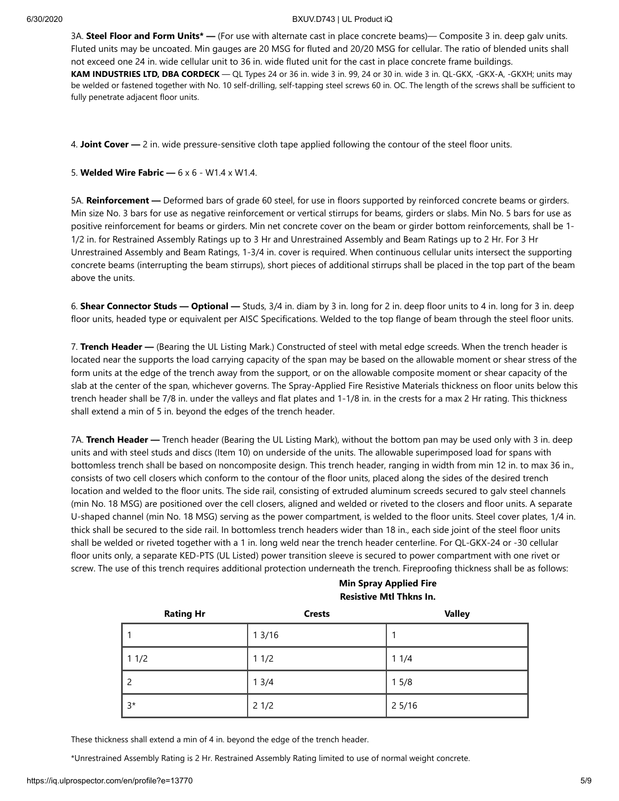3A. **Steel Floor and Form Units\* —** (For use with alternate cast in place concrete beams)— Composite 3 in. deep galv units. Fluted units may be uncoated. Min gauges are 20 MSG for fluted and 20/20 MSG for cellular. The ratio of blended units shall not exceed one 24 in. wide cellular unit to 36 in. wide fluted unit for the cast in place concrete frame buildings. **KAM INDUSTRIES LTD, DBA CORDECK** — QL Types 24 or 36 in. wide 3 in. 99, 24 or 30 in. wide 3 in. QL-GKX, -GKX-A, -GKXH; units may be welded or fastened together with No. 10 self-drilling, self-tapping steel screws 60 in. OC. The length of the screws shall be sufficient to fully penetrate adjacent floor units.

4. **Joint Cover —** 2 in. wide pressure-sensitive cloth tape applied following the contour of the steel floor units.

5. **Welded Wire Fabric —** 6 x 6 - W1.4 x W1.4.

5A. **Reinforcement —** Deformed bars of grade 60 steel, for use in floors supported by reinforced concrete beams or girders. Min size No. 3 bars for use as negative reinforcement or vertical stirrups for beams, girders or slabs. Min No. 5 bars for use as positive reinforcement for beams or girders. Min net concrete cover on the beam or girder bottom reinforcements, shall be 1- 1/2 in. for Restrained Assembly Ratings up to 3 Hr and Unrestrained Assembly and Beam Ratings up to 2 Hr. For 3 Hr Unrestrained Assembly and Beam Ratings, 1-3/4 in. cover is required. When continuous cellular units intersect the supporting concrete beams (interrupting the beam stirrups), short pieces of additional stirrups shall be placed in the top part of the beam above the units.

6. **Shear Connector Studs — Optional —** Studs, 3/4 in. diam by 3 in. long for 2 in. deep floor units to 4 in. long for 3 in. deep floor units, headed type or equivalent per AISC Specifications. Welded to the top flange of beam through the steel floor units.

7. **Trench Header —** (Bearing the UL Listing Mark.) Constructed of steel with metal edge screeds. When the trench header is located near the supports the load carrying capacity of the span may be based on the allowable moment or shear stress of the form units at the edge of the trench away from the support, or on the allowable composite moment or shear capacity of the slab at the center of the span, whichever governs. The Spray-Applied Fire Resistive Materials thickness on floor units below this trench header shall be 7/8 in. under the valleys and flat plates and 1-1/8 in. in the crests for a max 2 Hr rating. This thickness shall extend a min of 5 in. beyond the edges of the trench header.

7A. **Trench Header —** Trench header (Bearing the UL Listing Mark), without the bottom pan may be used only with 3 in. deep units and with steel studs and discs (Item 10) on underside of the units. The allowable superimposed load for spans with bottomless trench shall be based on noncomposite design. This trench header, ranging in width from min 12 in. to max 36 in., consists of two cell closers which conform to the contour of the floor units, placed along the sides of the desired trench location and welded to the floor units. The side rail, consisting of extruded aluminum screeds secured to galv steel channels (min No. 18 MSG) are positioned over the cell closers, aligned and welded or riveted to the closers and floor units. A separate U-shaped channel (min No. 18 MSG) serving as the power compartment, is welded to the floor units. Steel cover plates, 1/4 in. thick shall be secured to the side rail. In bottomless trench headers wider than 18 in., each side joint of the steel floor units shall be welded or riveted together with a 1 in. long weld near the trench header centerline. For QL-GKX-24 or -30 cellular floor units only, a separate KED-PTS (UL Listed) power transition sleeve is secured to power compartment with one rivet or screw. The use of this trench requires additional protection underneath the trench. Fireproofing thickness shall be as follows:

**Min Spray Applied Fire Resistive Mtl Thkns In.**

| <b>Rating Hr</b> | <b>Crests</b> | <b>Valley</b> |
|------------------|---------------|---------------|
|                  | 13/16         |               |
| 11/2             | 11/2          | 11/4          |
|                  | 13/4          | 15/8          |
| $3*$             | 21/2          | 25/16         |

These thickness shall extend a min of 4 in. beyond the edge of the trench header.

\*Unrestrained Assembly Rating is 2 Hr. Restrained Assembly Rating limited to use of normal weight concrete.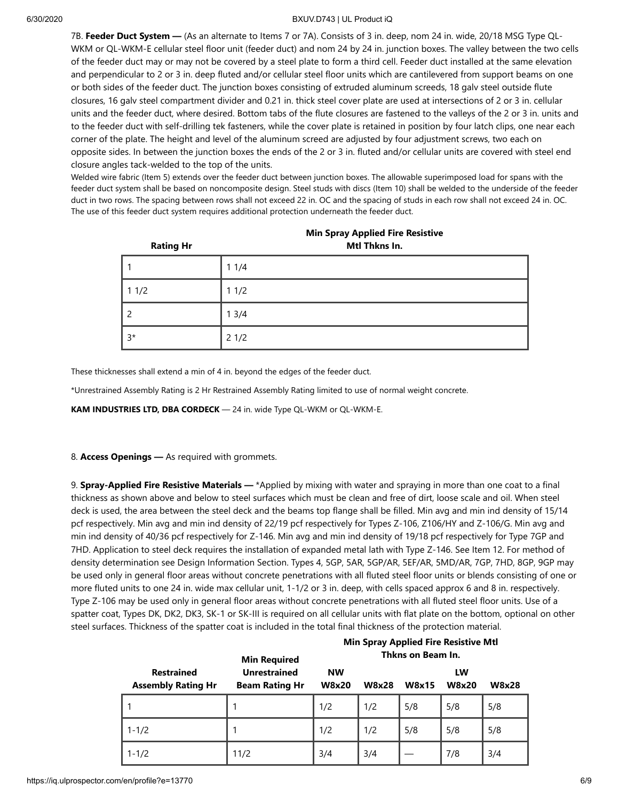7B. **Feeder Duct System —** (As an alternate to Items 7 or 7A). Consists of 3 in. deep, nom 24 in. wide, 20/18 MSG Type QL-WKM or QL-WKM-E cellular steel floor unit (feeder duct) and nom 24 by 24 in. junction boxes. The valley between the two cells of the feeder duct may or may not be covered by a steel plate to form a third cell. Feeder duct installed at the same elevation and perpendicular to 2 or 3 in. deep fluted and/or cellular steel floor units which are cantilevered from support beams on one or both sides of the feeder duct. The junction boxes consisting of extruded aluminum screeds, 18 galv steel outside flute closures, 16 galv steel compartment divider and 0.21 in. thick steel cover plate are used at intersections of 2 or 3 in. cellular units and the feeder duct, where desired. Bottom tabs of the flute closures are fastened to the valleys of the 2 or 3 in. units and to the feeder duct with self-drilling tek fasteners, while the cover plate is retained in position by four latch clips, one near each corner of the plate. The height and level of the aluminum screed are adjusted by four adjustment screws, two each on opposite sides. In between the junction boxes the ends of the 2 or 3 in. fluted and/or cellular units are covered with steel end closure angles tack-welded to the top of the units.

Welded wire fabric (Item 5) extends over the feeder duct between junction boxes. The allowable superimposed load for spans with the feeder duct system shall be based on noncomposite design. Steel studs with discs (Item 10) shall be welded to the underside of the feeder duct in two rows. The spacing between rows shall not exceed 22 in. OC and the spacing of studs in each row shall not exceed 24 in. OC. The use of this feeder duct system requires additional protection underneath the feeder duct.

| <b>Rating Hr</b> | Mtl Thkns In. |  |  |
|------------------|---------------|--|--|
|                  | 11/4          |  |  |
| 11/2             | 11/2          |  |  |
| $\overline{2}$   | 13/4          |  |  |
| $3*$             | 21/2          |  |  |

|  | <b>Min Spray Applied Fire Resistive</b> |  |  |
|--|-----------------------------------------|--|--|
|--|-----------------------------------------|--|--|

These thicknesses shall extend a min of 4 in. beyond the edges of the feeder duct.

\*Unrestrained Assembly Rating is 2 Hr Restrained Assembly Rating limited to use of normal weight concrete.

**KAM INDUSTRIES LTD, DBA CORDECK** — 24 in. wide Type QL-WKM or QL-WKM-E.

#### 8. **Access Openings —** As required with grommets.

9. **Spray-Applied Fire Resistive Materials —** \*Applied by mixing with water and spraying in more than one coat to a final thickness as shown above and below to steel surfaces which must be clean and free of dirt, loose scale and oil. When steel deck is used, the area between the steel deck and the beams top flange shall be filled. Min avg and min ind density of 15/14 pcf respectively. Min avg and min ind density of 22/19 pcf respectively for Types Z-106, Z106/HY and Z-106/G. Min avg and min ind density of 40/36 pcf respectively for Z-146. Min avg and min ind density of 19/18 pcf respectively for Type 7GP and 7HD. Application to steel deck requires the installation of expanded metal lath with Type Z-146. See Item 12. For method of density determination see Design Information Section. Types 4, 5GP, 5AR, 5GP/AR, 5EF/AR, 5MD/AR, 7GP, 7HD, 8GP, 9GP may be used only in general floor areas without concrete penetrations with all fluted steel floor units or blends consisting of one or more fluted units to one 24 in. wide max cellular unit, 1-1/2 or 3 in. deep, with cells spaced approx 6 and 8 in. respectively. Type Z-106 may be used only in general floor areas without concrete penetrations with all fluted steel floor units. Use of a spatter coat, Types DK, DK2, DK3, SK-1 or SK-III is required on all cellular units with flat plate on the bottom, optional on other steel surfaces. Thickness of the spatter coat is included in the total final thickness of the protection material.

|                                                | <b>Min Required</b>                          | <b>Min Spray Applied Fire Resistive Mtl</b><br>Thkns on Beam In. |              |       |                    |              |
|------------------------------------------------|----------------------------------------------|------------------------------------------------------------------|--------------|-------|--------------------|--------------|
| <b>Restrained</b><br><b>Assembly Rating Hr</b> | <b>Unrestrained</b><br><b>Beam Rating Hr</b> | <b>NW</b><br><b>W8x20</b>                                        | <b>W8x28</b> | W8x15 | LW<br><b>W8x20</b> | <b>W8x28</b> |
|                                                |                                              | 1/2                                                              | 1/2          | 5/8   | 5/8                | 5/8          |
| $1 - 1/2$                                      |                                              | 1/2                                                              | 1/2          | 5/8   | 5/8                | 5/8          |
| $1 - 1/2$                                      | 11/2                                         | 3/4                                                              | 3/4          |       | 7/8                | 3/4          |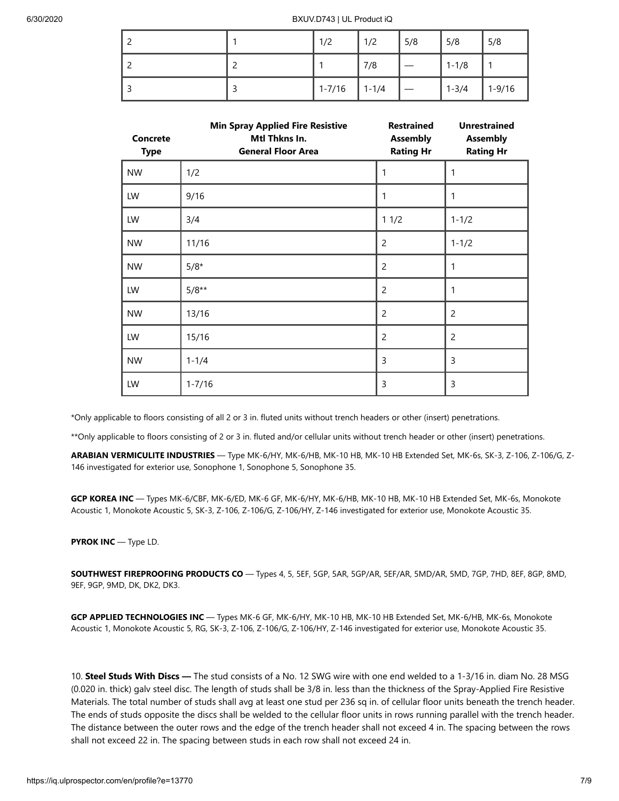|  | 1/2        | 1/2       | 5/8 | 5/8       | 5/8        |
|--|------------|-----------|-----|-----------|------------|
|  |            | 7/8       |     | $1 - 1/8$ |            |
|  | $1 - 7/16$ | $1 - 1/4$ |     | $1 - 3/4$ | $1 - 9/16$ |

| <b>Concrete</b><br><b>Type</b> | <b>Min Spray Applied Fire Resistive</b><br>Mtl Thkns In.<br><b>General Floor Area</b> | <b>Restrained</b><br><b>Assembly</b><br><b>Rating Hr</b> | <b>Unrestrained</b><br><b>Assembly</b><br><b>Rating Hr</b> |
|--------------------------------|---------------------------------------------------------------------------------------|----------------------------------------------------------|------------------------------------------------------------|
| <b>NW</b>                      | 1/2                                                                                   | 1                                                        | 1                                                          |
| LW                             | 9/16                                                                                  | 1                                                        | 1                                                          |
| LW                             | 3/4                                                                                   | 11/2                                                     | $1 - 1/2$                                                  |
| <b>NW</b>                      | 11/16                                                                                 | $\overline{2}$                                           | $1 - 1/2$                                                  |
| <b>NW</b>                      | $5/8*$                                                                                | 2                                                        | 1                                                          |
| LW                             | $5/8**$                                                                               | $\overline{2}$                                           | 1                                                          |
| <b>NW</b>                      | 13/16                                                                                 | $\overline{c}$                                           | $\overline{c}$                                             |
| LW                             | 15/16                                                                                 | $\overline{c}$                                           | $\overline{c}$                                             |
| <b>NW</b>                      | $1 - 1/4$                                                                             | 3                                                        | 3                                                          |
| LW                             | $1 - 7/16$                                                                            | 3                                                        | 3                                                          |

\*Only applicable to floors consisting of all 2 or 3 in. fluted units without trench headers or other (insert) penetrations.

\*\*Only applicable to floors consisting of 2 or 3 in. fluted and/or cellular units without trench header or other (insert) penetrations.

**ARABIAN VERMICULITE INDUSTRIES** — Type MK-6/HY, MK-6/HB, MK-10 HB, MK-10 HB Extended Set, MK-6s, SK-3, Z-106, Z-106/G, Z-146 investigated for exterior use, Sonophone 1, Sonophone 5, Sonophone 35.

**GCP KOREA INC** — Types MK-6/CBF, MK-6/ED, MK-6 GF, MK-6/HY, MK-6/HB, MK-10 HB, MK-10 HB Extended Set, MK-6s, Monokote Acoustic 1, Monokote Acoustic 5, SK-3, Z-106, Z-106/G, Z-106/HY, Z-146 investigated for exterior use, Monokote Acoustic 35.

#### **PYROK INC** — Type LD.

**SOUTHWEST FIREPROOFING PRODUCTS CO** — Types 4, 5, 5EF, 5GP, 5AR, 5GP/AR, 5EF/AR, 5MD/AR, 5MD, 7GP, 7HD, 8EF, 8GP, 8MD, 9EF, 9GP, 9MD, DK, DK2, DK3.

**GCP APPLIED TECHNOLOGIES INC** — Types MK-6 GF, MK-6/HY, MK-10 HB, MK-10 HB Extended Set, MK-6/HB, MK-6s, Monokote Acoustic 1, Monokote Acoustic 5, RG, SK-3, Z-106, Z-106/G, Z-106/HY, Z-146 investigated for exterior use, Monokote Acoustic 35.

10. **Steel Studs With Discs —** The stud consists of a No. 12 SWG wire with one end welded to a 1-3/16 in. diam No. 28 MSG (0.020 in. thick) galv steel disc. The length of studs shall be 3/8 in. less than the thickness of the Spray-Applied Fire Resistive Materials. The total number of studs shall avg at least one stud per 236 sq in. of cellular floor units beneath the trench header. The ends of studs opposite the discs shall be welded to the cellular floor units in rows running parallel with the trench header. The distance between the outer rows and the edge of the trench header shall not exceed 4 in. The spacing between the rows shall not exceed 22 in. The spacing between studs in each row shall not exceed 24 in.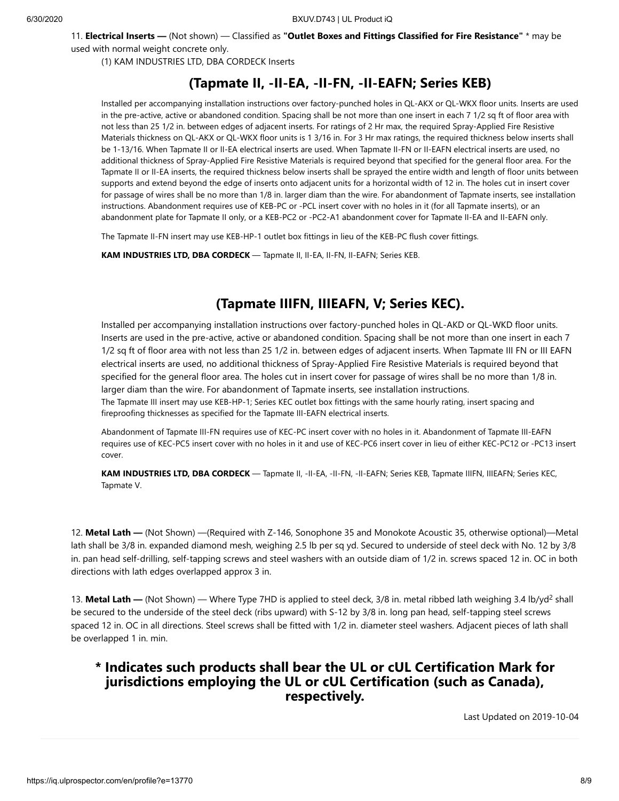11. **Electrical Inserts —** (Not shown) — Classified as **"Outlet Boxes and Fittings Classified for Fire Resistance"** \* may be used with normal weight concrete only.

(1) KAM INDUSTRIES LTD, DBA CORDECK Inserts

## **(Tapmate II, -II-EA, -II-FN, -II-EAFN; Series KEB)**

Installed per accompanying installation instructions over factory-punched holes in QL-AKX or QL-WKX floor units. Inserts are used in the pre-active, active or abandoned condition. Spacing shall be not more than one insert in each 7 1/2 sq ft of floor area with not less than 25 1/2 in. between edges of adjacent inserts. For ratings of 2 Hr max, the required Spray-Applied Fire Resistive Materials thickness on QL-AKX or QL-WKX floor units is 1 3/16 in. For 3 Hr max ratings, the required thickness below inserts shall be 1-13/16. When Tapmate II or II-EA electrical inserts are used. When Tapmate II-FN or II-EAFN electrical inserts are used, no additional thickness of Spray-Applied Fire Resistive Materials is required beyond that specified for the general floor area. For the Tapmate II or II-EA inserts, the required thickness below inserts shall be sprayed the entire width and length of floor units between supports and extend beyond the edge of inserts onto adjacent units for a horizontal width of 12 in. The holes cut in insert cover for passage of wires shall be no more than 1/8 in. larger diam than the wire. For abandonment of Tapmate inserts, see installation instructions. Abandonment requires use of KEB-PC or -PCL insert cover with no holes in it (for all Tapmate inserts), or an abandonment plate for Tapmate II only, or a KEB-PC2 or -PC2-A1 abandonment cover for Tapmate II-EA and II-EAFN only.

The Tapmate II-FN insert may use KEB-HP-1 outlet box fittings in lieu of the KEB-PC flush cover fittings.

**KAM INDUSTRIES LTD, DBA CORDECK** — Tapmate II, II-EA, II-FN, II-EAFN; Series KEB.

## **(Tapmate IIIFN, IIIEAFN, V; Series KEC).**

Installed per accompanying installation instructions over factory-punched holes in QL-AKD or QL-WKD floor units. Inserts are used in the pre-active, active or abandoned condition. Spacing shall be not more than one insert in each 7 1/2 sq ft of floor area with not less than 25 1/2 in. between edges of adjacent inserts. When Tapmate III FN or III EAFN electrical inserts are used, no additional thickness of Spray-Applied Fire Resistive Materials is required beyond that specified for the general floor area. The holes cut in insert cover for passage of wires shall be no more than 1/8 in. larger diam than the wire. For abandonment of Tapmate inserts, see installation instructions. The Tapmate III insert may use KEB-HP-1; Series KEC outlet box fittings with the same hourly rating, insert spacing and fireproofing thicknesses as specified for the Tapmate III-EAFN electrical inserts.

Abandonment of Tapmate III-FN requires use of KEC-PC insert cover with no holes in it. Abandonment of Tapmate III-EAFN requires use of KEC-PC5 insert cover with no holes in it and use of KEC-PC6 insert cover in lieu of either KEC-PC12 or -PC13 insert cover.

**KAM INDUSTRIES LTD, DBA CORDECK** — Tapmate II, -II-EA, -II-FN, -II-EAFN; Series KEB, Tapmate IIIFN, IIIEAFN; Series KEC, Tapmate V.

12. **Metal Lath —** (Not Shown) —(Required with Z-146, Sonophone 35 and Monokote Acoustic 35, otherwise optional)—Metal lath shall be 3/8 in. expanded diamond mesh, weighing 2.5 lb per sq yd. Secured to underside of steel deck with No. 12 by 3/8 in. pan head self-drilling, self-tapping screws and steel washers with an outside diam of 1/2 in. screws spaced 12 in. OC in both directions with lath edges overlapped approx 3 in.

13. Metal Lath — (Not Shown) — Where Type 7HD is applied to steel deck, 3/8 in. metal ribbed lath weighing 3.4 lb/yd<sup>2</sup> shall be secured to the underside of the steel deck (ribs upward) with S-12 by 3/8 in. long pan head, self-tapping steel screws spaced 12 in. OC in all directions. Steel screws shall be fitted with 1/2 in. diameter steel washers. Adjacent pieces of lath shall be overlapped 1 in. min.

### **\* Indicates such products shall bear the UL or cUL Certification Mark for jurisdictions employing the UL or cUL Certification (such as Canada), respectively.**

[Last Updated](javascript:openit() on 2019-10-04